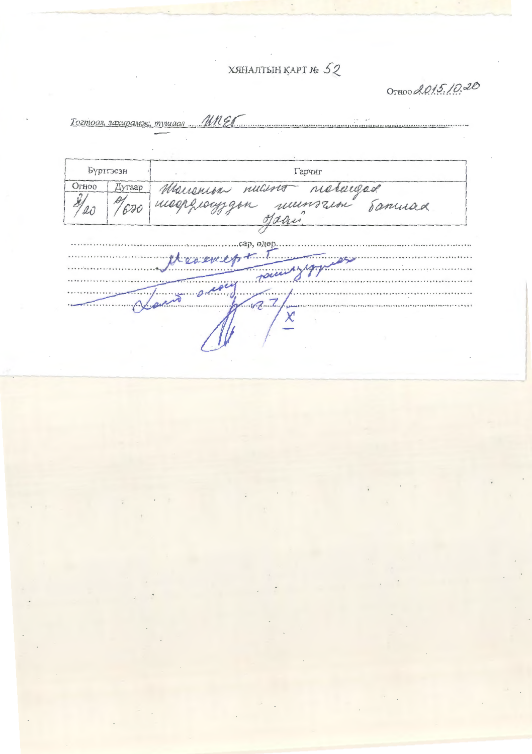## ХЯНАЛТЫН ҚАРТ № 52

OTHOO 2015.10.20

Тогтоол, захирамж, тушаал МИЕГ

| Бүртгэсэн |        | Гарчиг                                                           |
|-----------|--------|------------------------------------------------------------------|
| Огноо     | Дугаар |                                                                  |
|           |        | Manenion nucino nieturged<br>meephooyigon numsaim samuad<br>Jaan |
|           |        |                                                                  |
|           |        | сар, өдөр.                                                       |
|           |        | terement                                                         |
|           |        | racinglyn                                                        |
|           |        | zeoin                                                            |
|           |        | $\overline{a}$                                                   |
|           |        |                                                                  |
|           |        |                                                                  |
|           |        |                                                                  |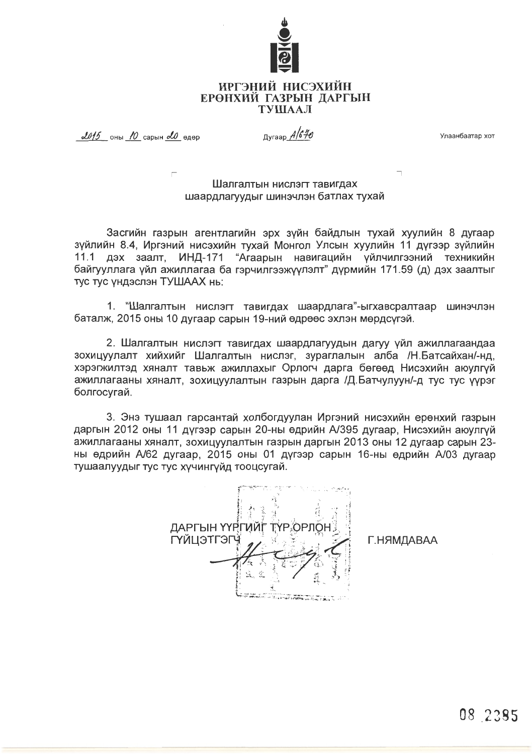

## ИРГЭНИЙ НИСЭХИЙН ЕРӨНХИЙ ГАЗРЫН ДАРГЫН **TYIIIAAJI**

 $2015$  OHbi 10 Capbill  $20$  exep

Дугаар A/646

Улаанбаатар хот

## Шалгалтын нислэгт тавигдах шаардлагуудыг шинэчлэн батлах түхай

Засгийн газрын агентлагийн эрх зүйн байдлын тухай хуулийн 8 дугаар зүйлийн 8.4, Иргэний нисэхийн түхай Монгол Улсын хуулийн 11 дүгээр зүйлийн 11.1 дэх заалт. ИНД-171 "Агаарын навигацийн үйлчилгээний техникийн байгууллага үйл ажиллагаа ба гэрчилгээжүүлэлт" дүрмийн 171.59 (д) дэх заалтыг тус тус үндэслэн ТУШААХ нь:

1. "Шалгалтын нислэгт тавигдах шаардлага"-ыгхавсралтаар шинэчлэн баталж, 2015 оны 10 дугаар сарын 19-ний өдрөөс эхлэн мөрдсүгэй.

2. Шалгалтын нислэгт тавигдах шаардлагуудын дагуу үйл ажиллагаандаа зохицуулалт хийхийг Шалгалтын нислэг, зураглалын алба /Н.Батсайхан/-нд, хэрэгжилтэд хяналт тавьж ажиллахыг Орлогч дарга бөгөөд Нисэхийн аюулгүй ажиллагааны хяналт, зохицуулалтын газрын дарга /Д.Батчулуун/-д тус тус үүрэг болгосугай.

3. Энэ тушаал гарсантай холбогдуулан Иргэний нисэхийн ерөнхий газрын даргын 2012 оны 11 дүгээр сарын 20-ны өдрийн А/395 дугаар, Нисэхийн аюулгүй ажиллагааны хяналт, зохицуулалтын газрын даргын 2013 оны 12 дугаар сарын 23ны өдрийн А/62 дугаар, 2015 оны 01 дүгээр сарын 16-ны өдрийн А/03 дугаар тушаалуудыг тус тус хүчингүйд тооцсугай.

ДАРГЫН ҮҮРГИЙГ ТҮР ОРЛО ГҮЙЦЭТГЭГ e de la provincia de la marca de la contenentación de la contenentación de la contenentación de la contenenta<br>La contenentación de la contenentación de la contenentación de la contenentación de la contenentación de la co

Г.НЯМДАВАА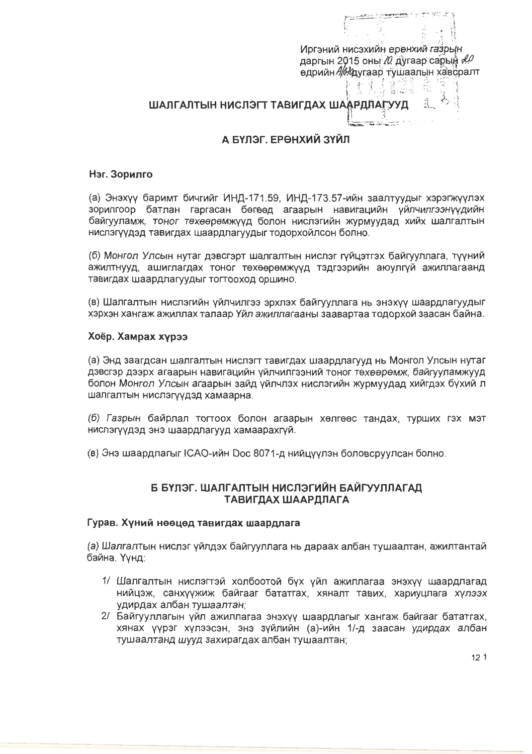Иргэний нисэхийн ерөнхий газрын даргын 2015 оны /0 дугаар сарын 20 өдрийн Авдугаар тушаалын хавсралт i Edina Arti

# ШАЛГАЛТЫН НИСЛЭГТ ТАВИГДАХ ШААРДЛАГУУД  $\mathbb{R}^3$

## А БҮЛЭГ. ЕРӨНХИЙ ЗҮЙЛ

#### Нэг. Зорилго

(а) Энэхүү баримт бичгийг ИНД-171.59, ИНД-173.57-ийн заалтуудыг хэрэгжүүлэх зорилгоор батлан гаргасан бөгөөд агаарын навигацийн үйлчилгээнүүдийн байгууламж, тоног төхөөрөмжүүд болон нислэгийн жүрмүүдад хийх шалгалтын нислэгүүдэд тавигдах шаардлагуудыг тодорхойлсон болно.

(б) Монгол Улсын нутаг дэвсгэрт шалгалтын нислэг гүйцэтгэх байгууллага, түүний ажилтнууд, ашиглагдах тоног төхөөрөмжүүд тэдгээрийн аюулгүй ажиллагаанд тавигдах шаардлагуудыг тогтооход оршино.

(в) Шалгалтын нислэгийн үйлчилгээ эрхлэх байгууллага нь энэхүү шаардлагуудыг хэрхэн хангаж ажиллах талаар Үйл ажиллагааны заавартаа тодорхой заасан байна.

## Хоёр. Хамрах хүрээ

(а) Энд заагдсан шалгалтын нислэгт тавигдах шаардлагууд нь Монгол Улсын нутаг дэвсгэр дээрх агаарын навигацийн үйлчилгээний тоног төхөөрөмж, байгууламжүүд болон Монгол Улсын агаарын зайд үйлчлэх нислэгийн жүрмүүдад хийгдэх бүхий л шалгалтын нислэгүүдэд хамаарна.

(б) Газрын байрлал тогтоох болон агаарын хөлгөөс тандах, турших гэх мэт нислэгүүдэд энэ шаардлагууд хамаарахгүй.

(в) Энэ шаардлагыг ICAO-ийн Doc 8071-д нийцүүлэн боловсрүүлсан болно.

## Б БҮЛЭГ. ШАЛГАЛТЫН НИСЛЭГИЙН БАЙГУУЛЛАГАД ТАВИГДАХ ШААРДЛАГА

## Гурав. Хуний нөөцөд тавигдах шаардлага

(а) Шалгалтын нислэг үйлдэх байгууллага нь дараах албан тушаалтан, ажилтантай байна. Үүнд:

- 1/ Шалгалтын нислэгтэй холбоотой бүх үйл ажиллагаа энэхүү шаардлагад нийцэж, санхүүжиж байгааг бататгах, хяналт тавих, хариуцлага хүлээх удирдах албан тушаалтан;
- 2/ Байгууллагын үйл ажиллагаа энэхүү шаардлагыг хангаж байгааг бататгах, хянах үүрэг хүлээсэн, энэ зүйлийн (а)-ийн 1/-д заасан удирдах албан тушаалтанд шууд захирагдах албан тушаалтан:

 $12<sub>1</sub>$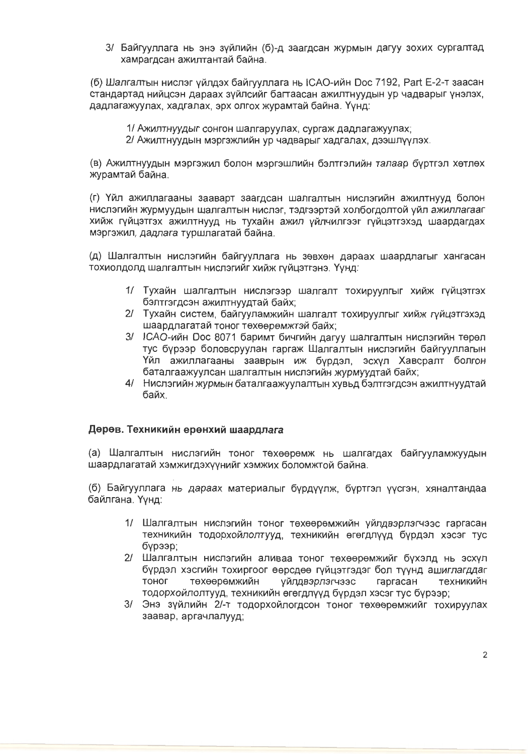3/ Байгууллага нь энэ зүйлийн (б)-д заагдсан журмын дагуу зохих сургалтад хамрагдсан ажилтантай байна.

(б) Шалгалтын нислэг үйлдэх байгууллага нь ICAO-ийн Doc 7192, Part E-2-т заасан стандартад нийцсэн дараах зүйлсийг багтаасан ажилтнуудын ур чадварыг үнэлэх, дадлагажуулах, хадгалах, эрх олгох журамтай байна. Үүнд:

1/ Ажилтнуудыг сонгон шалгаруулах, сургаж дадлагажуулах;

2/ Ажилтнуудын мэргэжлийн ур чадварыг хадгалах, дээшлүүлэх.

(в) Ажилтнуудын мэргэжил болон мэргэшлийн бэлтгэлийн талаар бүртгэл хөтлөх журамтай байна.

(г) Үйл ажиллагааны зааварт заагдсан шалгалтын нислэгийн ажилтнууд болон нислэгийн журмуудын шалгалтын нислэг, тэдгээртэй холбогдолтой үйл ажиллагааг хийж гүйцэтгэх ажилтнууд нь тухайн ажил үйлчилгээг гүйцэтгэхэд шаардагдах мэргэжил, дадлага туршлагатай байна.

(д) Шалгалтын нислэгийн байгууллага нь зөвхөн дараах шаардлагыг хангасан тохиолдолд шалгалтын нислэгийг хийж гүйцэтгэнэ. Үүнд:

- 1/ Тухайн шалгалтын нислэгээр шалгалт тохируулгыг хийж гүйцэтгэх бэлтгэгдсэн ажилтнуудтай байх;
- 2/ Тухайн систем, байгууламжийн шалгалт тохируулгыг хийж гүйцэтгэхэд шаардлагатай тоног төхөөрөмжтэй байх;
- 3/ ICAO-ийн Doc 8071 баримт бичгийн дагуу шалгалтын нислэгийн төрөл тус бүрээр боловсруулан гаргаж Шалгалтын нислэгийн байгууллагын Үйл ажиллагааны зааврын иж бурдэл, эсхүл Хавсралт болгон баталгаажүүлсан шалгалтын нислэгийн жүрмүүдтай байх;
- 4/ Нислэгийн журмын баталгаажуулалтын хувьд бэлтгэгдсэн ажилтнуудтай байх.

### Дөрөв. Техникийн ерөнхий шаардлага

(а) Шалгалтын нислэгийн тоног төхөөрөмж нь шалгагдах байгууламжуудын шаардлагатай хэмжигдэхүүнийг хэмжих боломжтой байна.

(б) Байгууллага нь дараах материалыг бүрдүүлж, бүртгэл үүсгэн, хяналтандаа байлгана. Үүнд:

- 1/ Шалгалтын нислэгийн тоног төхөөрөмжийн үйлдвэрлэгчээс гаргасан техникийн тодорхойлолтууд, техникийн өгөгдлүүд бүрдэл хэсэг тус бурээр:
- 2/ Шалгалтын нислэгийн аливаа тоног төхөөрөмжийг бүхэлд нь эсхүл бүрдэл хэсгийн тохиргоог өөрсдөө гүйцэтгэдэг бол түүнд ашиглагддаг тоног төхөөрөмжийн үйлдвэрлэгчээс гаргасан техникийн тодорхойлолтууд, техникийн өгөгдлүүд бүрдэл хэсэг тус бүрээр;
- 3/ Энэ зүйлийн 2/-т тодорхойлогдсон тоног төхөөрөмжийг тохируулах заавар, аргачлалууд;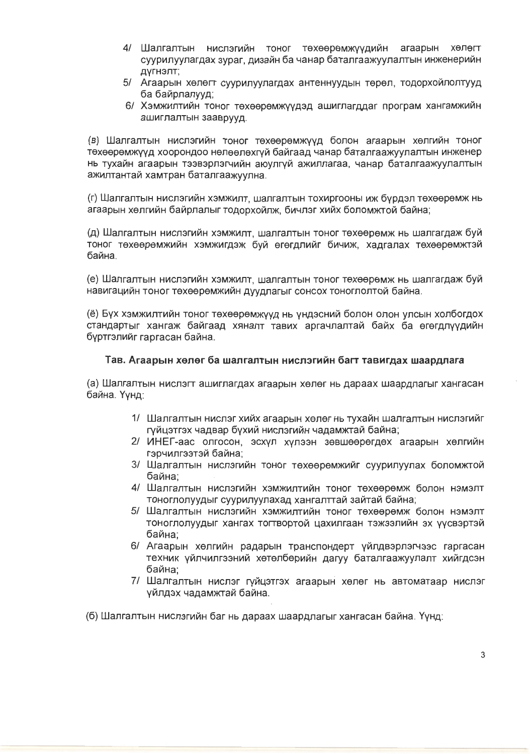- 4/ Шалгалтын нислэгийн тоног төхөөрөмжүүдийн агаарын хөлөгт суурилуулагдах зураг, дизайн ба чанар баталгаажуулалтын инженерийн дүгнэлт;
- 5/ Агаарын хөлөгт суурилуулагдах антеннуудын төрөл, тодорхойлолтууд ба байрлалууд:
- 6/ Хэмжилтийн тоног төхөөрөмжүүдэд ашиглагддаг програм хангамжийн ашиглалтын зааврууд.

(в) Шалгалтын нислэгийн тоног төхөөрөмжүүд болон агаарын хөлгийн тоног төхөөрөмжүүд хоорондоо нөлөөлөхгүй байгаад чанар баталгаажуулалтын инженер нь тухайн агаарын тээвэрлэгчийн аюулгуй ажиллагаа, чанар баталгаажуулалтын ажилтантай хамтран баталгаажуулна.

(г) Шалгалтын нислэгийн хэмжилт, шалгалтын тохиргооны иж бүрдэл төхөөрөмж нь агаарын хөлгийн байрлалыг тодорхойлж, бичлэг хийх боломжтой байна;

(д) Шалгалтын нислэгийн хэмжилт, шалгалтын тоног төхөөрөмж нь шалгагдаж буй тоног төхөөрөмжийн хэмжигдэж бүй өгөгдлийг бичиж, хадгалах төхөөрөмжтэй байна.

(е) Шалгалтын нислэгийн хэмжилт, шалгалтын тоног төхөөрөмж нь шалгагдаж буй навигацийн тоног төхөөрөмжийн дүүдлагыг сонсох тоноглолтой байна.

е) Бүх хэмжилтийн тоног төхөөрөмжүүд нь үндэсний болон олон үлсын холбогдох) стандартыг хангаж байгаад хяналт тавих аргачлалтай байх ба өгөгдлүүдийн буртгэлийг гаргасан байна.

## Тав. Агаарын хөлөг ба шалгалтын нислэгийн багт тавигдах шаардлага

(а) Шалгалтын нислэгт ашиглагдах агаарын хөлөг нь дараах шаардлагыг хангасан байна. Үүнд:

- 1/ Шалгалтын нислэг хийх агаарын хөлөг нь тухайн шалгалтын нислэгийг гүйцэтгэх чадвар бүхий нислэгийн чадамжтай байна;
- 2/ ИНЕГ-аас олгосон, эсхүл хүлээн зөвшөөрөгдөх агаарын хөлгийн гэрчилгээтэй байна:
- 3/ Шалгалтын нислэгийн тоног төхөөрөмжийг суурилуулах боломжтой байна:
- 4/ Шалгалтын нислэгийн хэмжилтийн тоног төхөөрөмж болон нэмэлт тоноглолуудыг суурилуулахад хангалттай зайтай байна;
- 5/ Шалгалтын нислэгийн хэмжилтийн тоног төхөөрөмж болон нэмэлт тоноглолуудыг хангах тогтвортой цахилгаан тэжээлийн эх үүсвэртэй байна:
- 6/ Агаарын хөлгийн радарын транспондерт үйлдвэрлэгчээс гаргасан техник үйлчилгээний хөтөлбөрийн дагуу баталгаажуулалт хийгдсэн байна:
- 7/ Шалгалтын нислэг гүйцэтгэх агаарын хөлөг нь автоматаар нислэг үйлдэх чадамжтай байна.
- (б) Шалгалтын нислэгийн баг нь дараах шаардлагыг хангасан байна. Үүнд: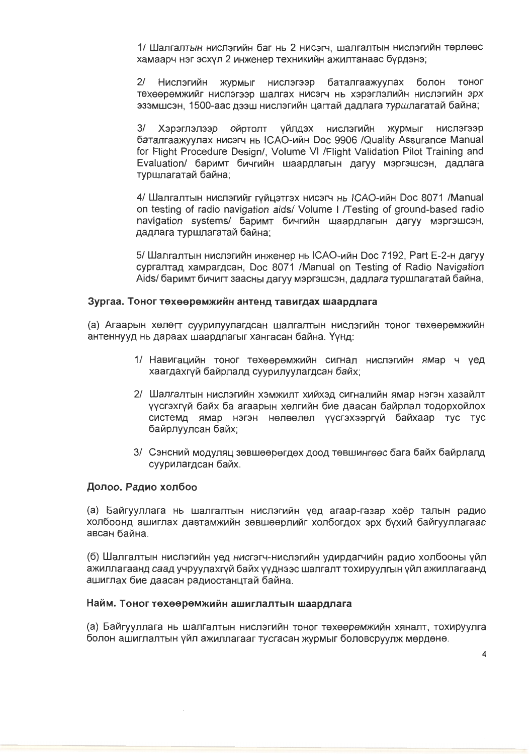1/ Шалгалтын нислэгийн баг нь 2 нисэгч, шалгалтын нислэгийн төрлөөс хамаарч нэг эсхүл 2 инженер техникийн ажилтанаас бүрдэнэ;

 $21$ Нислэгийн жүрмыг нислэгээр баталгаажуулах болон тоног техееремжийг нислэгээр шалгах нисэгч нь хэрэглэлийн нислэгийн эрх эзэмшсэн, 1500-аас дээш нислэгийн цагтай дадлага туршлагатай байна;

 $3/$ Хэрэглэлээр ойртолт үйлдэх нислэгийн журмыг нислэгээр баталгаажуулах нисэгч нь ICAO-ийн Doc 9906 /Quality Assurance Manual for Flight Procedure Design/, Volume VI / Flight Validation Pilot Training and Evaluation/ баримт бичгийн шаардлагын дагуу мэргэшсэн, дадлага туршлагатай байна;

4/ Шалгалтын нислэгийг гүйцэтгэх нисэгч нь ICAO-ийн Doc 8071 /Manual on testing of radio navigation aids/ Volume I / Testing of ground-based radio navigation systems/ баримт бичгийн шаардлагын дагуу мэргэшсэн, дадлага туршлагатай байна;

5/ Шалгалтын нислэгийн инженер нь ICAO-ийн Doc 7192, Part E-2-н дагуу сургалтад хамрагдсан. Doc 8071 / Manual on Testing of Radio Navigation Aids/ баримт бичигт заасны дагуу мэргэшсэн, дадлага туршлагатай байна,

## Зургаа. Тоног төхөөрөмжийн антенд тавигдах шаардлага

(а) Агаарын хөлөгт суурилуулагдсан шалгалтын нислэгийн тоног төхөөрөмжийн антеннууд нь дараах шаардлагыг хангасан байна. Үүнд:

- 1/ Навигацийн тоног төхөөрөмжийн сигнал нислэгийн ямар ч үед хаагдахгүй байрлалд суурилуулагдсан байх;
- 2/ Шалгалтын нислэгийн хэмжилт хийхэд сигналийн ямар нэгэн хазайлт үүсгэхгүй байх ба агаарын хөлгийн бие даасан байрлал тодорхойлох системд ямар нэгэн нөлөөлөл үүсгэхээргүй байхаар тус тус байрлуулсан байх;
- 3/ Сэнсний модуляц зөвшөөрөгдөх доод төвшингөөс бага байх байрлалд суурилагдсан байх.

### Долоо. Радио холбоо

(а) Байгууллага нь шалгалтын нислэгийн үед агаар-газар хоёр талын радио холбоонд ашиглах давтамжийн зөвшөөрлийг холбогдох эрх бүхий байгууллагаас авсан байна.

(б) Шалгалтын нислэгийн үед нисгэгч-нислэгийн удирдагчийн радио холбооны үйл ажиллагаанд саад учруулахгүй байх үүднээс шалгалт тохируулгын үйл ажиллагаанд ашиглах бие даасан радиостанцтай байна.

### Найм. Тоног төхөөрөмжийн ашиглалтын шаардлага

(а) Байгууллага нь шалгалтын нислэгийн тоног төхөөрөмжийн хяналт, тохируулга болон ашиглалтын үйл ажиллагааг тусгасан журмыг боловсруулж мөрдөнө.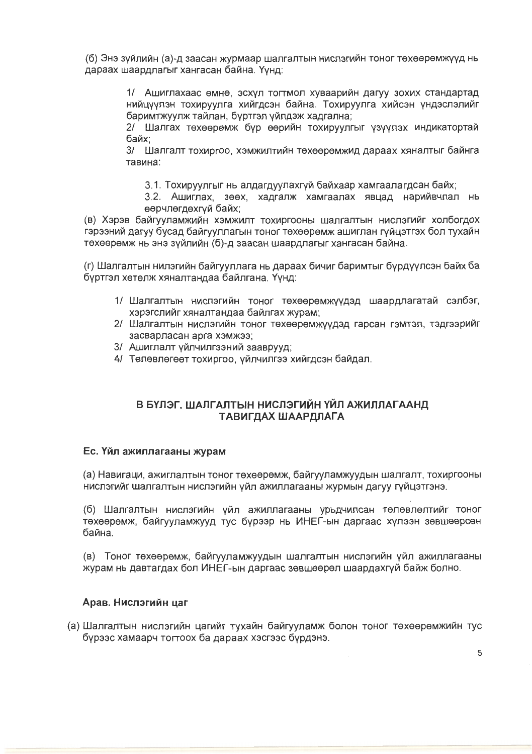(б) Энэ зуйлийн (а)-д заасан журмаар шалгалтын нислэгийн тоног төхөөрөмжүүд нь дараах шаардлагыг хангасан байна. Үүнд:

> 1/ Ашиглахаас өмнө, эсхүл тогтмол хуваарийн дагуу зохих стандартад нийцуулэн тохируулга хийгдсэн байна. Тохируулга хийсэн ундэслэлийг баримтжуулж тайлан. буртгэл уйлдэж хадгална:

> 2/ Шалгах техөөрөмж бур өөрийн тохируулгыг үзүүлэх индикатортай байх:

> 3/ Шалгалт тохиргоо, хэмжилтийн төхөөрөмжид дараах хяналтыг байнга тавина:

3.1. Тохируулгыг нь алдагдуулахгүй байхаар хамгаалагдсан байх;

3.2. Ашиглах, зөөх, хадгалж хамгаалах явцад нарийвчлал нь өөрчлөгдөхгүй байх:

(в) Хэрэв байгууламжийн хэмжилт тохиргооны шалгалтын нислэгийг холбогдох гэрээний дагуу бусад байгууллагын тоног төхөөрөмж ашиглан гүйцэтгэх бол тухайн төхөөрөмж нь энэ зүйлийн (б)-д заасан шаардлагыг хангасан байна.

(г) Шалгалтын нилэгийн байгууллага нь дараах бичиг баримтыг бурдуулсэн байх ба буртгэл хөтөлж хяналтандаа байлгана. Үүнд:

- 1/ Шалгалтын нислэгийн тоног төхөөрөмжүүдэд шаардлагатай сэлбэг, хэрэгслийг хяналтандаа байлгах журам;
- 2/ Шалгалтын нислэгийн тоног төхөөрөмжүүдэд гарсан гэмтэл, тэдгээрийг засварласан арга хэмжээ;
- 3/ Ашиглалт уйлчилгээний зааврууд;
- 4/ Төлөвлөгөөт тохиргоо, үйлчилгээ хийгдсэн байдал.

## В БҮЛЭГ. ШАЛГАЛТЫН НИСЛЭГИЙН ҮЙЛ АЖИЛЛАГААНД ТАВИГДАХ ШААРДЛАГА

### Ес. Үйл ажиллагааны журам

(а) Навигаци, ажиглалтын тоног төхөөрөмж, байгууламжуудын шалгалт, тохиргооны нислэгийг шалгалтын нислэгийн үйл ажиллагааны журмын дагуу гүйцэтгэнэ.

(б) Шалгалтын нислэгийн үйл ажиллагааны урьдчилсан төлөвлөлтийг тоног төхөөрөмж, байгууламжууд тус бүрээр нь ИНЕГ-ын даргаас хүлээн зөвшөөрсөн байна.

(в) Тоног төхөөрөмж, байгүүламжүүдын шалгалтын нислэгийн үйл ажиллагааны журам нь давтагдах бол ИНЕГ-ын даргаас зөвшөөрөл шаардахгүй байж болно.

### Арав. Нислэгийн цаг

(а) Шалгалтын нислэгийн цагийг тухайн байгууламж болон тоног төхөөрөмжийн тус бурээс хамаарч тогтоох ба дараах хэсгээс бурдэнэ.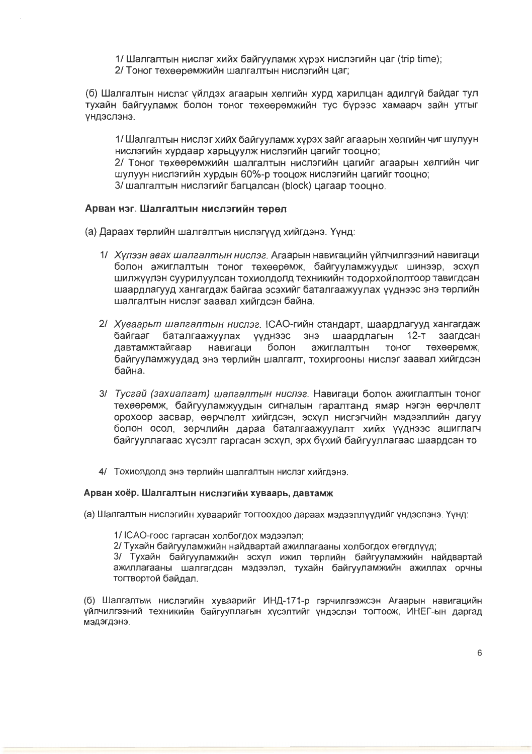1/ Шалгалтын нислэг хийх байгууламж хүрэх нислэгийн цаг (trip time);

2/ Тоног төхөөрөмжийн шалгалтын нислэгийн цаг:

(б) Шалгалтын нислэг уйлдэх агаарын хөлгийн хурд харилцан адилгүй байдаг тул тухайн байгууламж болон тоног төхөөрөмжийн тус бүрээс хамаарч зайн үтгыг **УНДЭСЛЭНЭ.** 

1/ Шалгалтын нислэг хийх байгууламж хүрэх зайг агаарын хөлгийн чиг шулуун нислэгийн хурдаар харьцуулж нислэгийн цагийг тооцно;

2/ Тоног төхөөрөмжийн шалгалтын нислэгийн цагийг агаарын хөлгийн чиг шулуун нислэгийн хурдын 60%-р тооцож нислэгийн цагийг тооцно;

3/ шалгалтын нислэгийг багцалсан (block) цагаар тооцно.

## Арван нэг. Шалгалтын нислэгийн төрөл

- (а) Дараах төрлийн шалгалтын нислэгүүд хийгдэнэ. Үүнд:
	- 1/ Хулээн авах шалгалтын нислэг. Агаарын навигацийн үйлчилгээний навигаци болон ажиглалтын тоног төхөөрөмж, байгууламжуудыг шинээр, эсхүл шилжүүлэн сүүрилүүлсан тохиолдолд техникийн тодорхойлолтоор тавигдсан шаардлагууд хангагдаж байгаа эсэхийг баталгаажуулах ууднээс энэ төрлийн шалгалтын нислэг заавал хийгдсэн байна.
	- 2/ Хуваарьт шалгалтын нислэг. ICAO-гийн стандарт, шаардлагууд хангагдаж байгааг баталгаажуулах үүднээс энэ шаардлагын 12-т заагдсан давтамжтайгаар навигаци болон ажиглалтын тоног техееремж. байгууламжуудад энэ төрлийн шалгалт, тохиргооны нислэг заавал хийгдсэн байна
	- 3/ Тусгай (захиалгат) шалгалтын нислэг. Навигаци болон ажиглалтын тоног төхөөрөмж, байгууламжуудын сигналын гаралтанд ямар нэгэн өөрчлөлт орохоор засвар, өөрчлөлт хийгдсэн, эсхүл нисгэгчийн мэдээллийн дагуу болон осол, зөрчлийн дараа баталгаажуулалт хийх үүднээс ашиглагч байгууллагаас хусэлт гаргасан эсхул, эрх бухий байгууллагаас шаардсан то
	- 4/ Тохиолдолд энэ төрлийн шалгалтын нислэг хийгдэнэ.

### Арван хоёр. Шалгалтын нислэгийн хуваарь, давтамж

(а) Шалгалтын нислэгийн хуваарийг тогтоохдоо дараах мэдээллүүдийг үндэслэнэ. Үүнд:

1/ ICAO-гоос гаргасан холбогдох мэдээлэл:

2/ Тухайн байгууламжийн найдвартай ажиллагааны холбогдох өгөгдлүүд:

3/ Тухайн байгууламжийн эсхүл ижил төрлийн байгууламжийн найдвартай ажиллагааны шалгагдсан мэдээлэл, тухайн байгууламжийн ажиллах орчны тогтвортой байдал.

(б) Шалгалтын нислэгийн хуваарийг ИНД-171-р гэрчилгээжсэн Агаарын навигацийн үйлчилгээний техникийн байгууллагын хүсэлтийг үндэслэн тогтоож, ИНЕГ-ын даргад мэдэгдэнэ.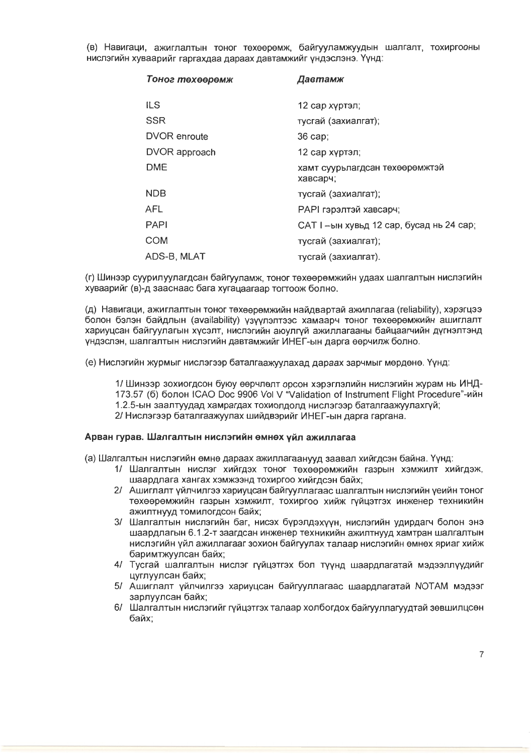(в) Навигаци, ажиглалтын тоног төхөөрөмж, байгууламжуудын шалгалт, тохиргооны нислэгийн хуваарийг гаргахдаа дараах давтамжийг үндэслэнэ. Үүнд:

| Тоног төхөөрөмж     | Давтамж                                    |
|---------------------|--------------------------------------------|
| <b>ILS</b>          | 12 сар хүртэл;                             |
| <b>SSR</b>          | тусгай (захиалгат);                        |
| <b>DVOR</b> enroute | $36$ cap;                                  |
| DVOR approach       | 12 сар хүртэл;                             |
| DME                 | хамт суурьлагдсан төхөөрөмжтэй<br>хавсарч; |
| <b>NDB</b>          | тусгай (захиалгат);                        |
| <b>AFL</b>          | <b>РАРІ гэрэлтэй хавсарч;</b>              |
| <b>PAPI</b>         | САТ I --ын хувьд 12 сар, бусад нь 24 сар;  |
| <b>COM</b>          | тусгай (захиалгат);                        |
| ADS-B, MLAT         | тусгай (захиалгат).                        |

(г) Шинээр суурилуулагдсан байгууламж, тоног төхөөрөмжийн удаах шалгалтын нислэгийн хуваарийг (в)-д зааснаас бага хугацаагаар тогтоож болно.

(д) Навигаци, ажиглалтын тоног төхөөрөмжийн найдвартай ажиллагаа (reliability), хэрэгцээ болон бэлэн байдлын (availability) узуулэлтээс хамаарч тоног төхөөрөмжийн ашиглалт хариуцсан байгуулагын хүсэлт, нислэгийн аюулгүй ажиллагааны байцаагчийн дүгнэлтэнд үндэслэн, шалгалтын нислэгийн давтамжийг ИНЕГ-ын дарга өөрчилж болно.

(е) Нислэгийн журмыг нислэгээр баталгаажуулахад дараах зарчмыг мөрдөнө. Үүнд:

1/ Шинээр зохиогдсон буюу өөрчлөлт орсон хэрэглэлийн нислэгийн журам нь ИНД-173.57 (б) болон ICAO Doc 9906 Vol V "Validation of Instrument Flight Procedure"-ийн 1.2.5-ын заалтуудад хамрагдах тохиолдолд нислэгээр баталгаажуулахгүй; 2/ Нислэгээр баталгаажуулах шийдвэрийг ИНЕГ-ын дарга гаргана.

#### Арван гурав. Шалгалтын нислэгийн өмнөх үйл ажиллагаа

(а) Шалгалтын нислэгийн өмнө дараах ажиллагаанууд заавал хийгдсэн байна. Үүнд:

- 1/ Шалгалтын нислэг хийгдэх тоног төхөөрөмжийн газрын хэмжилт хийгдэж, шаардлага хангах хэмжээнд тохиргоо хийгдсэн байх;
- 2/ Ашиглалт үйлчилгээ хариуцсан байгууллагаас шалгалтын нислэгийн үеийн тоног төхөөрөмжийн газрын хэмжилт, тохиргоо хийж гүйцэтгэх инженер техникийн ажилтнууд томилогдсон байх;
- 3/ Шалгалтын нислэгийн баг, нисэх бүрэлдэхүүн, нислэгийн удирдагч болон энэ шаардлагын 6.1.2-т заагдсан инженер техникийн ажилтнууд хамтран шалгалтын нислэгийн үйл ажиллагааг зохион байгуулах талаар нислэгийн өмнөх яриаг хийж баримтжуулсан байх:
- 4/ Тусгай шалгалтын нислэг гүйцэтгэх бол түүнд шаардлагатай мэдээллүүдийг цуглуулсан байх;
- 5/ Ашиглалт үйлчилгээ хариуцсан байгууллагаас шаардлагатай NOTAM мэдээг зарлуулсан байх;
- 6/ Шалгалтын нислэгийг гүйцэтгэх талаар холбогдох байгууллагуудтай зөвшилцсөн байх: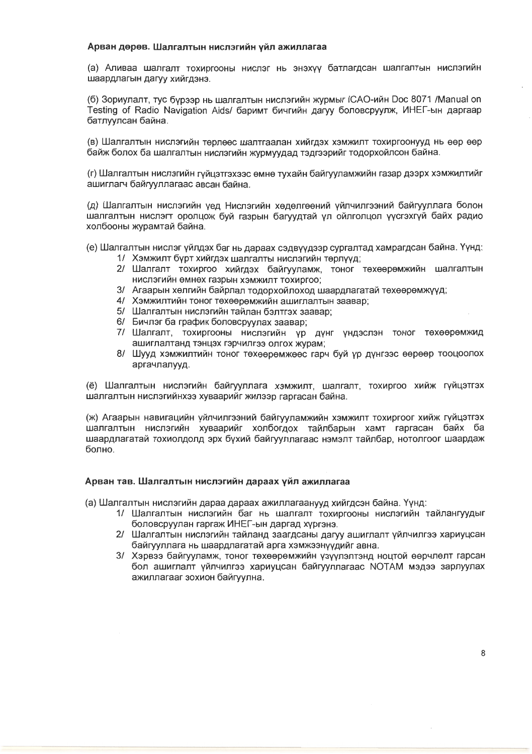#### Арван дөрөв. Шалгалтын нислэгийн үйл ажиллагаа

(а) Аливаа шалгалт тохиргооны нислэг нь энэхүү батлагдсан шалгалтын нислэгийн шаардлагын дагуу хийгдэнэ.

(б) Зориулалт, тус бүрээр нь шалгалтын нислэгийн журмыг ICAO-ийн Doc 8071 /Manual on Testing of Radio Navigation Aids/ баримт бичгийн дагуу боловсруулж, ИНЕГ-ын даргаар батлуулсан байна.

(в) Шалгалтын нислэгийн төрлөөс шалтгаалан хийгдэх хэмжилт тохиргоонууд нь өөр өөр байж болох ба шалгалтын нислэгийн жүрмүүдад тэдгээрийг тодорхойлсон байна.

(г) Шалгалтын нислэгийн гүйцэтгэхээс өмнө тухайн байгууламжийн газар дээрх хэмжилтийг ашиглагч байгууллагаас авсан байна.

(д) Шалгалтын нислэгийн үед Нислэгийн хөдөлгөөний үйлчилгээний байгууллага болон шалгалтын нислэгт оролцож буй газрын багуудтай үл ойлголцол үүсгэхгүй байх радио холбооны журамтай байна.

- (е) Шалгалтын нислэг үйлдэх баг нь дараах сэдвүүдээр сургалтад хамрагдсан байна. Үүнд:
	- 1/ Хэмжилт бүрт хийгдэх шалгалты нислэгийн төрлүүд;
	- 2/ Шалгалт тохиргоо хийгдэх байгууламж, тоног төхөөрөмжийн шалгалтын нислэгийн өмнөх газрын хэмжилт тохиргоо:
	- 3/ Агаарын хөлгийн байрлал тодорхойлоход шаардлагатай төхөөрөмжүүд;
	- 4/ Хэмжилтийн тоног төхөөрөмжийн ашиглалтын заавар;
	- 5/ Шалгалтын нислэгийн тайлан бэлтгэх заавар;
	- 6/ Бичлэг ба график боловсруулах заавар;
	- 7/ Шалгалт, тохиргооны нислэгийн үр дүнг үндэслэн тоног төхөөрөмжид ашиглалтанд тэнцэх гэрчилгээ олгох журам;
	- 8/ Шууд хэмжилтийн тоног төхөөрөмжөөс гарч буй үр дүнгээс өөрөөр тооцоолох аргачлалууд.

(ё) Шалгалтын нислэгийн байгууллага хэмжилт, шалгалт, тохиргоо хийж гүйцэтгэх шалгалтын нислэгийнхээ хуваарийг жилээр гаргасан байна.

(ж) Агаарын навигацийн үйлчилгээний байгууламжийн хэмжилт тохиргоог хийж гүйцэтгэх шалгалтын нислэгийн хуваарийг холбогдох тайлбарын хамт гаргасан байх ба шаардлагатай тохиолдолд эрх бүхий байгууллагаас нэмэлт тайлбар, нотолгоог шаардаж болно.

#### Арван тав. Шалгалтын нислэгийн дараах үйл ажиллагаа

(а) Шалгалтын нислэгийн дараа дараах ажиллагаанууд хийгдсэн байна. Үүнд:

- 1/ Шалгалтын нислэгийн баг нь шалгалт тохиргооны нислэгийн тайлангуудыг боловсруулан гаргаж ИНЕГ-ын даргад хүргэнэ.
- 2/ Шалгалтын нислэгийн тайланд заагдсаны дагуу ашиглалт үйлчилгээ хариуцсан байгууллага нь шаардлагатай арга хэмжээнүүдийг авна.
- 3/ Хэрвээ байгууламж, тоног төхөөрөмжийн үзүүлэлтэнд ноцтой өөрчлөлт гарсан бол ашиглалт үйлчилгээ хариуцсан байгууллагаас NOTAM мэдээ зарлуулах ажиллагааг зохион байгуулна.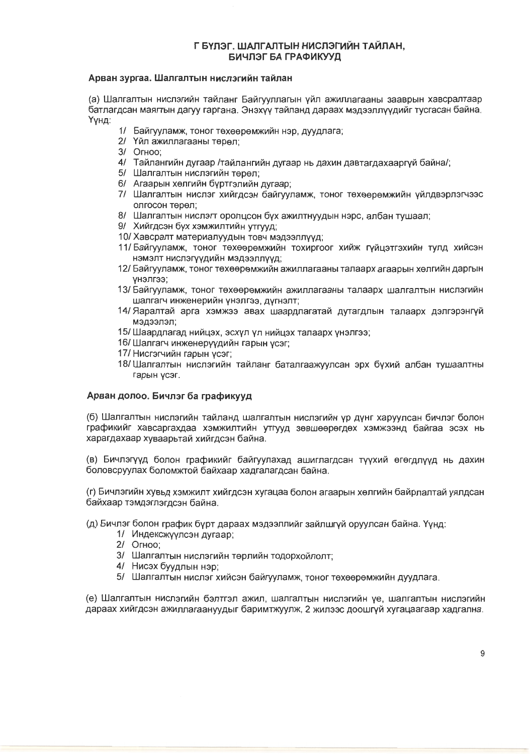## Г БҮЛЭГ. ШАЛГАЛТЫН НИСЛЭГИЙН ТАЙЛАН. БИЧЛЭГ БА ГРАФИКУУД

#### Арван зургаа. Шалгалтын нислэгийн тайлан

(а) Шалгалтын нислэгийн тайланг Байгууллагын үйл ажиллагааны зааврын хавсралтаар батлагдсан маягтын дагуу гаргана. Энэхүү тайланд дараах мэдээллүүдийг түсгасан байна. Үүнд:

- 1/ Байгууламж, тоног төхөөрөмжийн нэр, дуудлага:
- 2/ Үйл ажиллагааны төрөл:
- 3/ Orhoo:
- 4/ Тайлангийн дугаар /тайлангийн дугаар нь дахин давтагдахааргүй байна/;
- 5/ Шалгалтын нислэгийн төрөл:
- 6/ Агаарын хөлгийн буртгэлийн дугаар:
- 7/ Шалгалтын нислэг хийгдсэн байгууламж, тоног төхөөрөмжийн уйлдвэрлэгчээс олгосон төрөл:
- 8/ Шалгалтын нислэгт оролцсон бүх ажилтнуудын нэрс, албан тушаал;
- 9/ Хийгдсэн бүх хэмжилтийн утгууд;
- 10/ Хавсралт материалуудын товч мэдээллүүд:
- 11/ Байгууламж, тоног төхөөрөмжийн тохиргоог хийж гүйцэтгэхийн тулд хийсэн нэмэлт нислэгүүдийн мэдээллүүд;
- 12/ Байгууламж, тоног төхөөрөмжийн ажиллагааны талаарх агаарын хөлгийн даргын селпену
- 13/ Байгууламж, тоног төхөөрөмжийн ажиллагааны талаарх шалгалтын нислэгийн шалгагч инженерийн үнэлгээ, дүгнэлт;
- 14/ Яаралтай арга хэмжээ авах шаардлагатай дүтагдлын талаарх дэлгэрэнгүй пепеедем
- 15/ Шаардлагад нийцэх, эсхүл үл нийцэх талаарх үнэлгээ;
- 16/ Шалгагч инженерүүдийн гарын үсэг;
- 17/ Нисгэгчийн гарын үсэг;
- 18/Шалгалтын нислэгийн тайланг баталгаажуулсан эрх бүхий албан түшаалтны гарын үсэг.

### Арван долоо. Бичлэг ба графикууд

(б) Шалгалтын нислэгийн тайланд шалгалтын нислэгийн үр дүнг харуулсан бичлэг болон графикийг хавсаргахдаа хэмжилтийн утгууд зөвшөөрөгдөх хэмжээнд байгаа эсэх нь харагдахаар хуваарьтай хийгдсэн байна.

(в) Бичлэгүүд болон графикийг байгуулахад ашиглагдсан түүхий өгөгдлүүд нь дахин боловсруулах боломжтой байхаар хадгалагдсан байна.

(г) Бичлэгийн хувьд хэмжилт хийгдсэн хугацаа болон агаарын хөлгийн байрлалтай уялдсан байхаар тэмдэглэгдсэн байна.

- (д) Бичлэг болон график бүрт дараах мэдээллийг зайлшгүй оруулсан байна. Үүнд:
	- 1/ Индексжүүлсэн дугаар;
	- 2/ Orhoo:
	- 3/ Шалгалтын нислэгийн төрлийн тодорхойлолт;
	- 4/ Нисэх буудлын нэр;
	- 5/ Шалгалтын нислэг хийсэн байгууламж, тоног төхөөрөмжийн дуудлага.

(e) Шалгалтын нислэгийн бэлтгэл ажил, шалгалтын нислэгийн үе, шалгалтын нислэгийн дараах хийгдсэн ажиллагаануудыг баримтжуулж, 2 жилээс доошгуй хугацаагаар хадгална.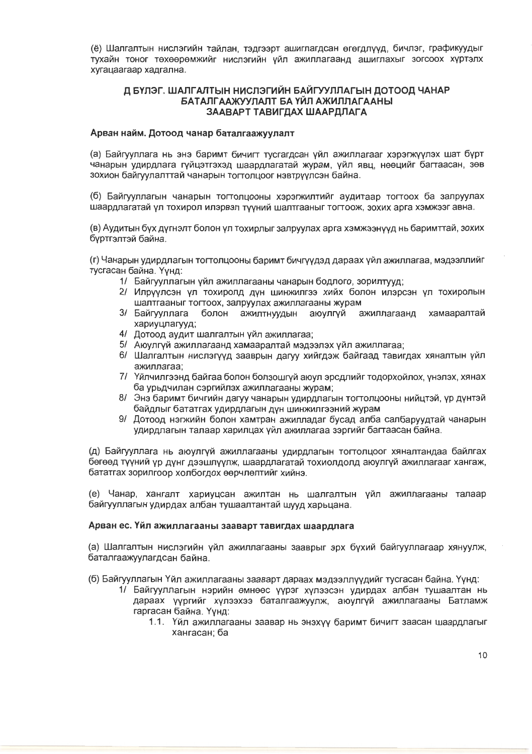(ё) Шалгалтын нислэгийн тайлан, тэдгээрт ашиглагдсан өгөгдлүүд, бичлэг, графикуудыг тухайн тоног төхөөрөмжийг нислэгийн уйл ажиллагаанд ашиглахыг зогсоох хүртэлх хугацаагаар хадгална.

#### Д БҮЛЭГ, ШАЛГАЛТЫН НИСЛЭГИЙН БАЙГУУЛЛАГЫН ДОТООД ЧАНАР БАТАЛГААЖУУЛАЛТ БА ҮЙЛ АЖИЛЛАГААНЫ ЗААВАРТ ТАВИГДАХ ШААРДЛАГА

#### Арван найм. Дотоод чанар баталгаажуулалт

(а) Байгууллага нь энэ баримт бичигт тусгагдсан үйл ажиллагааг хэрэгжүүлэх шат бүрт чанарын удирдлага гуйцэтгэхэд шаардлагатай журам, уйл явц, нөөцийг багтаасан, зөв зохион байгуулалттай чанарын тогтолцоог нэвтрүүлсэн байна.

(б) Байгууллагын чанарын тогтолцооны хэрэгжилтийг аудитаар тогтоох ба залруулах шаардлагатай ул тохирол илэрвэл түүний шалтгааныг тогтоож, зохих арга хэмжээг авна.

(в) Аудитын бух дугнэлт болон ул тохирлыг залруулах арга хэмжээнууд нь баримттай, зохих буртгэлтэй байна.

(г) Чанарын удирдлагын тогтолцооны баримт бичгүүдэд дараах үйл ажиллагаа, мэдээллийг тусгасан байна. Үүнд:

- 1/ Байгууллагын үйл ажиллагааны чанарын бодлого, зорилтууд;
- 2/ Илруулсэн ул тохиролд дун шинжилгээ хийх болон илэрсэн ул тохиролын шалтгааныг тогтоох, залруулах ажиллагааны журам
- 3/ Байгууллага болон ажилтнуудын аюулгүй ажиллагаанд хамааралтай хариуцлагууд;
- 4/ Дотоод аудит шалгалтын үйл ажиллагаа;
- 5/ Аюулгүй ажиллагаанд хамааралтай мэдээлэх үйл ажиллагаа;
- 6/ Шалгалтын нислэгүүд зааврын дагуу хийгдэж байгаад тавигдах хяналтын үйл ажиллагаа:
- 7/ Үйлчилгээнд байгаа болон болзошгүй аюул эрсдлийг тодорхойлох, үнэлэх, хянах ба урьдчилан сэргийлэх ажиллагааны журам:
- 8/ Энэ баримт бичгийн дагуу чанарын удирдлагын тогтолцооны нийцтэй, үр дүнтэй байдлыг бататгах удирдлагын дүн шинжилгээний журам
- 9/ Дотоод нэгжийн болон хамтран ажилладаг бусад алба салбаруудтай чанарын удирдлагын талаар харилцах үйл ажиллагаа зэргийг багтаасан байна.

(д) Байгууллага нь аюулгүй ажиллагааны удирдлагын тогтолцоог хяналтандаа байлгах бөгөөд түүний үр дүнг дээшлүүлж, шаардлагатай тохиолдолд аюулгүй ажиллагааг хангаж, бататгах зорилгоор холбогдох өөрчлөлтийг хийнэ.

(е) Чанар, хангалт хариуцсан ажилтан нь шалгалтын үйл ажиллагааны талаар байгууллагын удирдах албан түшаалтантай шууд харьцана.

#### Арван ес. Үйл ажиллагааны зааварт тавигдах шаардлага

(а) Шалгалтын нислэгийн үйл ажиллагааны зааврыг эрх бүхий байгууллагаар хянуулж, баталгаажуулагдсан байна.

(б) Байгууллагын Үйл ажиллагааны зааварт дараах мэдээллүүдийг тусгасан байна. Үүнд:

- 1/ Байгууллагын нэрийн өмнөөс үүрэг хүлээсэн удирдах албан тушаалтан нь дараах үүргийг хүлээхээ баталгаажуулж, аюулгүй ажиллагааны Батламж гаргасан байна. Үүнд:
	- 1.1. Үйл ажиллагааны заавар нь энэхүү баримт бичигт заасан шаардлагыг хангасан; ба